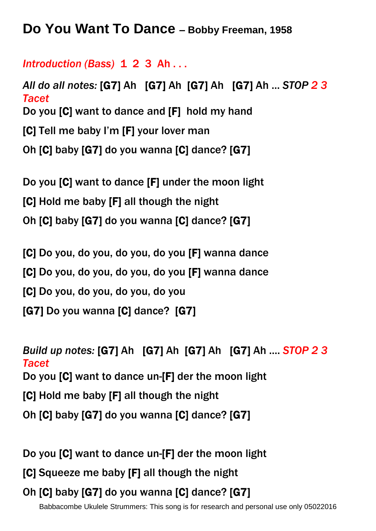**Do You Want To Dance – Bobby Freeman, 1958**

## *Introduction (Bass)* 1 2 3 Ah . . .

*All do all notes:* [G7] Ah [G7] Ah [G7] Ah [G7] Ah ... *STOP 2 3 Tacet* Do you [C] want to dance and [F] hold my hand [C] Tell me baby I'm [F] your lover man Oh [C] baby [G7] do you wanna [C] dance? [G7]

Do you [C] want to dance [F] under the moon light [C] Hold me baby [F] all though the night Oh [C] baby [G7] do you wanna [C] dance? [G7]

[C] Do you, do you, do you, do you [F] wanna dance [C] Do you, do you, do you, do you [F] wanna dance [C] Do you, do you, do you, do you [G7] Do you wanna [C] dance? [G7]

*Build up notes:* [G7] Ah [G7] Ah [G7] Ah [G7] Ah .... *STOP 2 3 Tacet* Do you [C] want to dance un-[F] der the moon light [C] Hold me baby [F] all though the night Oh [C] baby [G7] do you wanna [C] dance? [G7]

Do you [C] want to dance un-[F] der the moon light

[C] Squeeze me baby [F] all though the night

## Oh [C] baby [G7] do you wanna [C] dance? [G7]

Babbacombe Ukulele Strummers: This song is for research and personal use only 05022016